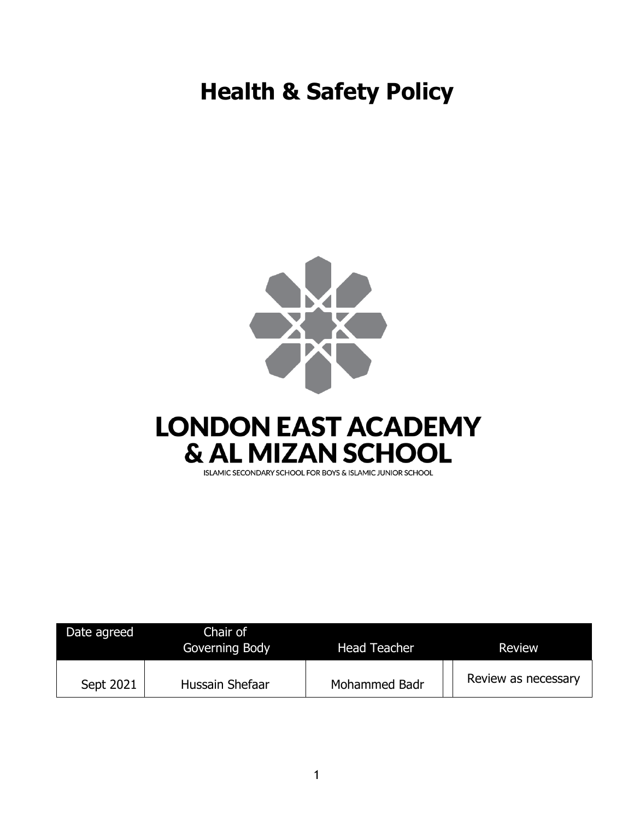# **Health & Safety Policy**



| Date agreed | Chair of<br>Governing Body | <b>Head Teacher</b> | Review              |
|-------------|----------------------------|---------------------|---------------------|
| Sept 2021   | Hussain Shefaar            | Mohammed Badr       | Review as necessary |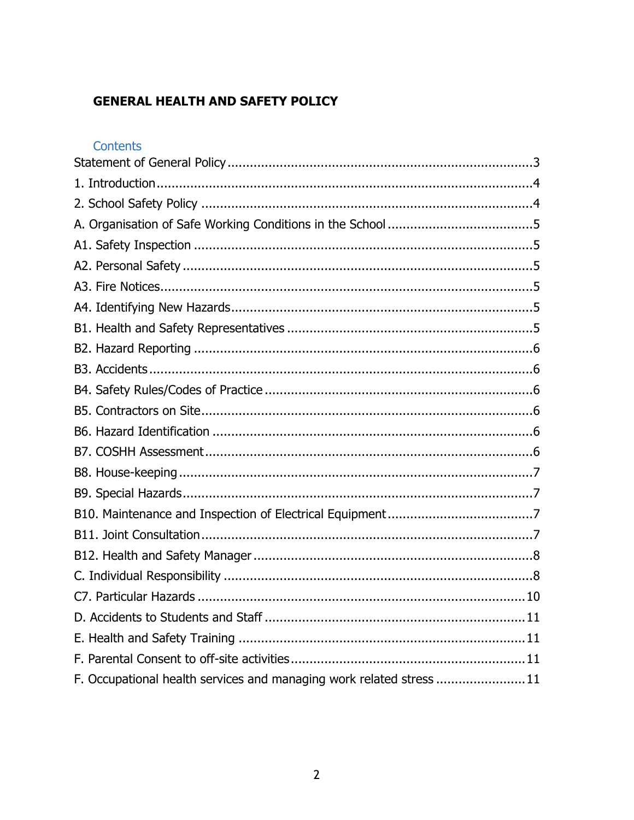# **GENERAL HEALTH AND SAFETY POLICY**

| Contents |  |  |
|----------|--|--|
|          |  |  |

| F. Occupational health services and managing work related stress 11 |
|---------------------------------------------------------------------|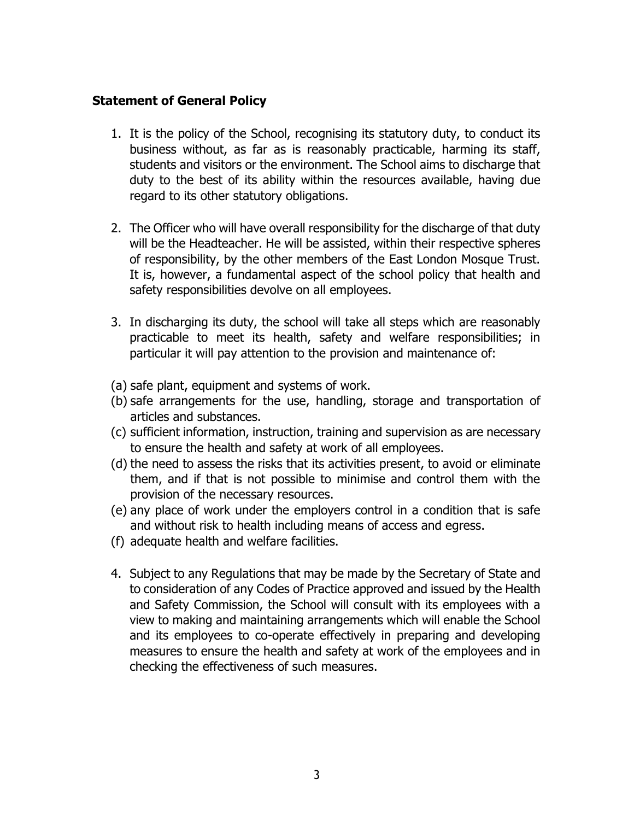#### <span id="page-2-0"></span>**Statement of General Policy**

- 1. It is the policy of the School, recognising its statutory duty, to conduct its business without, as far as is reasonably practicable, harming its staff, students and visitors or the environment. The School aims to discharge that duty to the best of its ability within the resources available, having due regard to its other statutory obligations.
- 2. The Officer who will have overall responsibility for the discharge of that duty will be the Headteacher. He will be assisted, within their respective spheres of responsibility, by the other members of the East London Mosque Trust. It is, however, a fundamental aspect of the school policy that health and safety responsibilities devolve on all employees.
- 3. In discharging its duty, the school will take all steps which are reasonably practicable to meet its health, safety and welfare responsibilities; in particular it will pay attention to the provision and maintenance of:
- (a) safe plant, equipment and systems of work.
- (b) safe arrangements for the use, handling, storage and transportation of articles and substances.
- (c) sufficient information, instruction, training and supervision as are necessary to ensure the health and safety at work of all employees.
- (d) the need to assess the risks that its activities present, to avoid or eliminate them, and if that is not possible to minimise and control them with the provision of the necessary resources.
- (e) any place of work under the employers control in a condition that is safe and without risk to health including means of access and egress.
- (f) adequate health and welfare facilities.
- 4. Subject to any Regulations that may be made by the Secretary of State and to consideration of any Codes of Practice approved and issued by the Health and Safety Commission, the School will consult with its employees with a view to making and maintaining arrangements which will enable the School and its employees to co-operate effectively in preparing and developing measures to ensure the health and safety at work of the employees and in checking the effectiveness of such measures.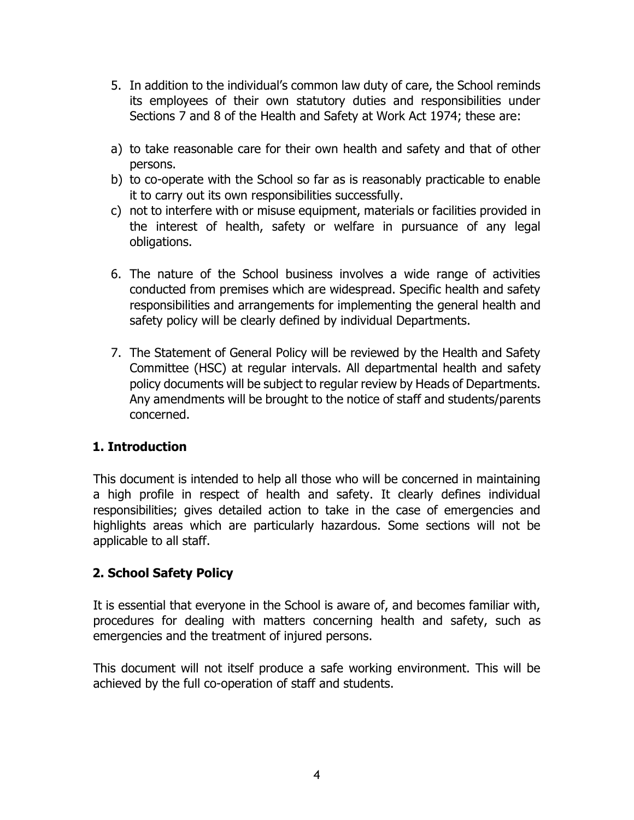- 5. In addition to the individual's common law duty of care, the School reminds its employees of their own statutory duties and responsibilities under Sections 7 and 8 of the Health and Safety at Work Act 1974; these are:
- a) to take reasonable care for their own health and safety and that of other persons.
- b) to co-operate with the School so far as is reasonably practicable to enable it to carry out its own responsibilities successfully.
- c) not to interfere with or misuse equipment, materials or facilities provided in the interest of health, safety or welfare in pursuance of any legal obligations.
- 6. The nature of the School business involves a wide range of activities conducted from premises which are widespread. Specific health and safety responsibilities and arrangements for implementing the general health and safety policy will be clearly defined by individual Departments.
- 7. The Statement of General Policy will be reviewed by the Health and Safety Committee (HSC) at regular intervals. All departmental health and safety policy documents will be subject to regular review by Heads of Departments. Any amendments will be brought to the notice of staff and students/parents concerned.

#### <span id="page-3-0"></span>**1. Introduction**

This document is intended to help all those who will be concerned in maintaining a high profile in respect of health and safety. It clearly defines individual responsibilities; gives detailed action to take in the case of emergencies and highlights areas which are particularly hazardous. Some sections will not be applicable to all staff.

## <span id="page-3-1"></span>**2. School Safety Policy**

It is essential that everyone in the School is aware of, and becomes familiar with, procedures for dealing with matters concerning health and safety, such as emergencies and the treatment of injured persons.

This document will not itself produce a safe working environment. This will be achieved by the full co-operation of staff and students.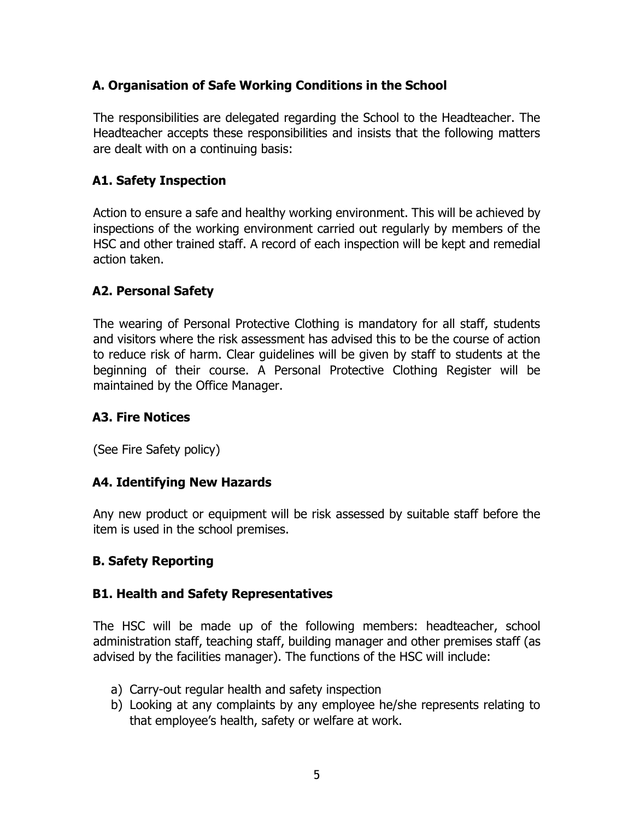# <span id="page-4-0"></span>**A. Organisation of Safe Working Conditions in the School**

The responsibilities are delegated regarding the School to the Headteacher. The Headteacher accepts these responsibilities and insists that the following matters are dealt with on a continuing basis:

#### <span id="page-4-1"></span>**A1. Safety Inspection**

Action to ensure a safe and healthy working environment. This will be achieved by inspections of the working environment carried out regularly by members of the HSC and other trained staff. A record of each inspection will be kept and remedial action taken.

#### <span id="page-4-2"></span>**A2. Personal Safety**

The wearing of Personal Protective Clothing is mandatory for all staff, students and visitors where the risk assessment has advised this to be the course of action to reduce risk of harm. Clear guidelines will be given by staff to students at the beginning of their course. A Personal Protective Clothing Register will be maintained by the Office Manager.

#### <span id="page-4-3"></span>**A3. Fire Notices**

(See Fire Safety policy)

#### <span id="page-4-4"></span>**A4. Identifying New Hazards**

Any new product or equipment will be risk assessed by suitable staff before the item is used in the school premises.

## **B. Safety Reporting**

#### <span id="page-4-5"></span>**B1. Health and Safety Representatives**

The HSC will be made up of the following members: headteacher, school administration staff, teaching staff, building manager and other premises staff (as advised by the facilities manager). The functions of the HSC will include:

- a) Carry-out regular health and safety inspection
- b) Looking at any complaints by any employee he/she represents relating to that employee's health, safety or welfare at work.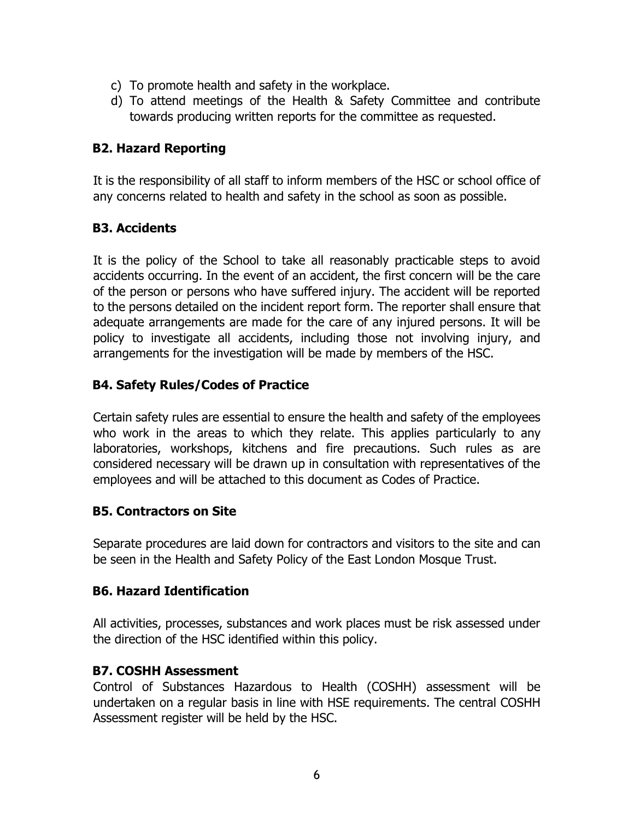- c) To promote health and safety in the workplace.
- d) To attend meetings of the Health & Safety Committee and contribute towards producing written reports for the committee as requested.

#### <span id="page-5-0"></span>**B2. Hazard Reporting**

It is the responsibility of all staff to inform members of the HSC or school office of any concerns related to health and safety in the school as soon as possible.

#### <span id="page-5-1"></span>**B3. Accidents**

It is the policy of the School to take all reasonably practicable steps to avoid accidents occurring. In the event of an accident, the first concern will be the care of the person or persons who have suffered injury. The accident will be reported to the persons detailed on the incident report form. The reporter shall ensure that adequate arrangements are made for the care of any injured persons. It will be policy to investigate all accidents, including those not involving injury, and arrangements for the investigation will be made by members of the HSC.

#### <span id="page-5-2"></span>**B4. Safety Rules/Codes of Practice**

Certain safety rules are essential to ensure the health and safety of the employees who work in the areas to which they relate. This applies particularly to any laboratories, workshops, kitchens and fire precautions. Such rules as are considered necessary will be drawn up in consultation with representatives of the employees and will be attached to this document as Codes of Practice.

#### <span id="page-5-3"></span>**B5. Contractors on Site**

Separate procedures are laid down for contractors and visitors to the site and can be seen in the Health and Safety Policy of the East London Mosque Trust.

#### <span id="page-5-4"></span>**B6. Hazard Identification**

All activities, processes, substances and work places must be risk assessed under the direction of the HSC identified within this policy.

#### <span id="page-5-5"></span>**B7. COSHH Assessment**

Control of Substances Hazardous to Health (COSHH) assessment will be undertaken on a regular basis in line with HSE requirements. The central COSHH Assessment register will be held by the HSC.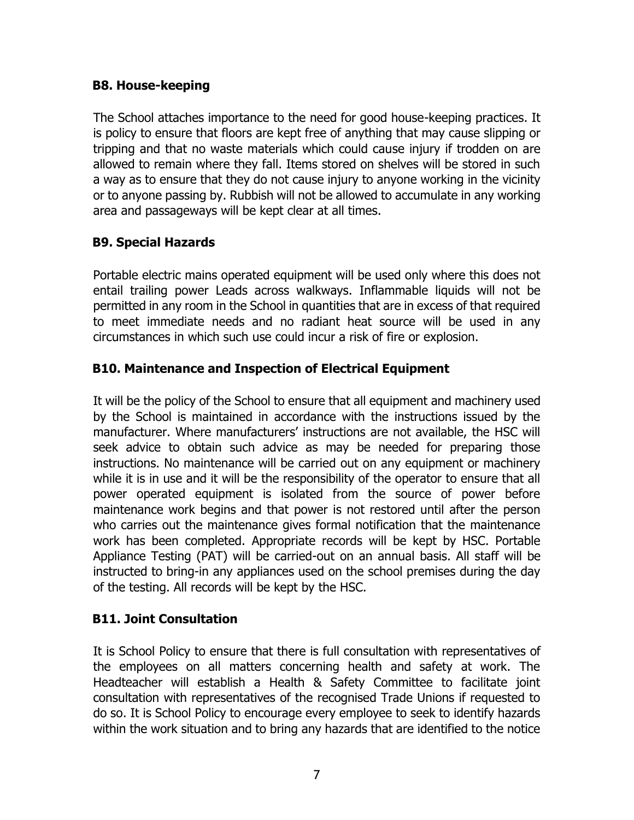#### <span id="page-6-0"></span>**B8. House-keeping**

The School attaches importance to the need for good house-keeping practices. It is policy to ensure that floors are kept free of anything that may cause slipping or tripping and that no waste materials which could cause injury if trodden on are allowed to remain where they fall. Items stored on shelves will be stored in such a way as to ensure that they do not cause injury to anyone working in the vicinity or to anyone passing by. Rubbish will not be allowed to accumulate in any working area and passageways will be kept clear at all times.

## <span id="page-6-1"></span>**B9. Special Hazards**

Portable electric mains operated equipment will be used only where this does not entail trailing power Leads across walkways. Inflammable liquids will not be permitted in any room in the School in quantities that are in excess of that required to meet immediate needs and no radiant heat source will be used in any circumstances in which such use could incur a risk of fire or explosion.

#### <span id="page-6-2"></span>**B10. Maintenance and Inspection of Electrical Equipment**

It will be the policy of the School to ensure that all equipment and machinery used by the School is maintained in accordance with the instructions issued by the manufacturer. Where manufacturers' instructions are not available, the HSC will seek advice to obtain such advice as may be needed for preparing those instructions. No maintenance will be carried out on any equipment or machinery while it is in use and it will be the responsibility of the operator to ensure that all power operated equipment is isolated from the source of power before maintenance work begins and that power is not restored until after the person who carries out the maintenance gives formal notification that the maintenance work has been completed. Appropriate records will be kept by HSC. Portable Appliance Testing (PAT) will be carried-out on an annual basis. All staff will be instructed to bring-in any appliances used on the school premises during the day of the testing. All records will be kept by the HSC.

#### <span id="page-6-3"></span>**B11. Joint Consultation**

It is School Policy to ensure that there is full consultation with representatives of the employees on all matters concerning health and safety at work. The Headteacher will establish a Health & Safety Committee to facilitate joint consultation with representatives of the recognised Trade Unions if requested to do so. It is School Policy to encourage every employee to seek to identify hazards within the work situation and to bring any hazards that are identified to the notice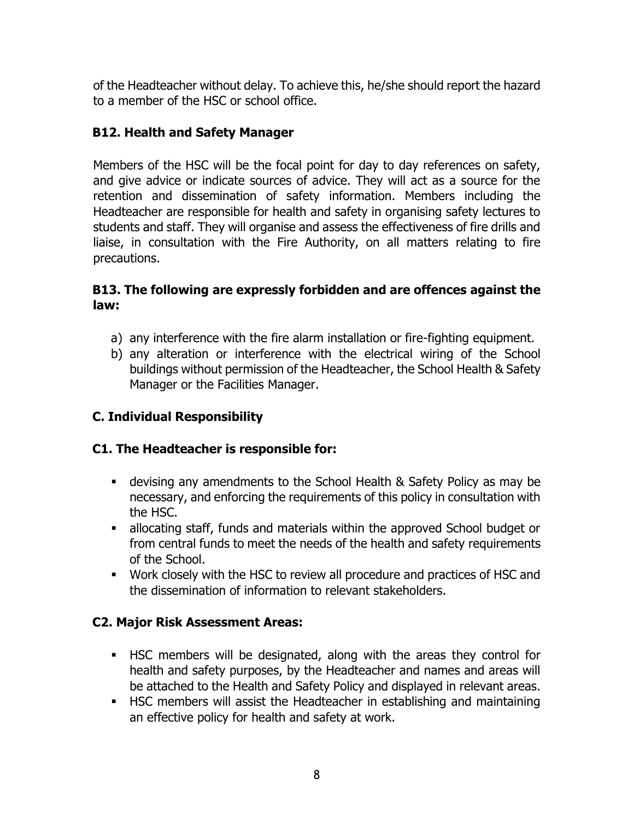of the Headteacher without delay. To achieve this, he/she should report the hazard to a member of the HSC or school office.

#### <span id="page-7-0"></span>**B12. Health and Safety Manager**

Members of the HSC will be the focal point for day to day references on safety, and give advice or indicate sources of advice. They will act as a source for the retention and dissemination of safety information. Members including the Headteacher are responsible for health and safety in organising safety lectures to students and staff. They will organise and assess the effectiveness of fire drills and liaise, in consultation with the Fire Authority, on all matters relating to fire precautions.

#### **B13. The following are expressly forbidden and are offences against the law:**

- a) any interference with the fire alarm installation or fire-fighting equipment.
- b) any alteration or interference with the electrical wiring of the School buildings without permission of the Headteacher, the School Health & Safety Manager or the Facilities Manager.

## <span id="page-7-1"></span>**C. Individual Responsibility**

#### **C1. The Headteacher is responsible for:**

- devising any amendments to the School Health & Safety Policy as may be necessary, and enforcing the requirements of this policy in consultation with the HSC.
- **EXED** allocating staff, funds and materials within the approved School budget or from central funds to meet the needs of the health and safety requirements of the School.
- Work closely with the HSC to review all procedure and practices of HSC and the dissemination of information to relevant stakeholders.

#### **C2. Major Risk Assessment Areas:**

- **EXEC MEMBERS WILL be designated, along with the areas they control for** health and safety purposes, by the Headteacher and names and areas will be attached to the Health and Safety Policy and displayed in relevant areas.
- **EXTES 15 FISC members will assist the Headteacher in establishing and maintaining** an effective policy for health and safety at work.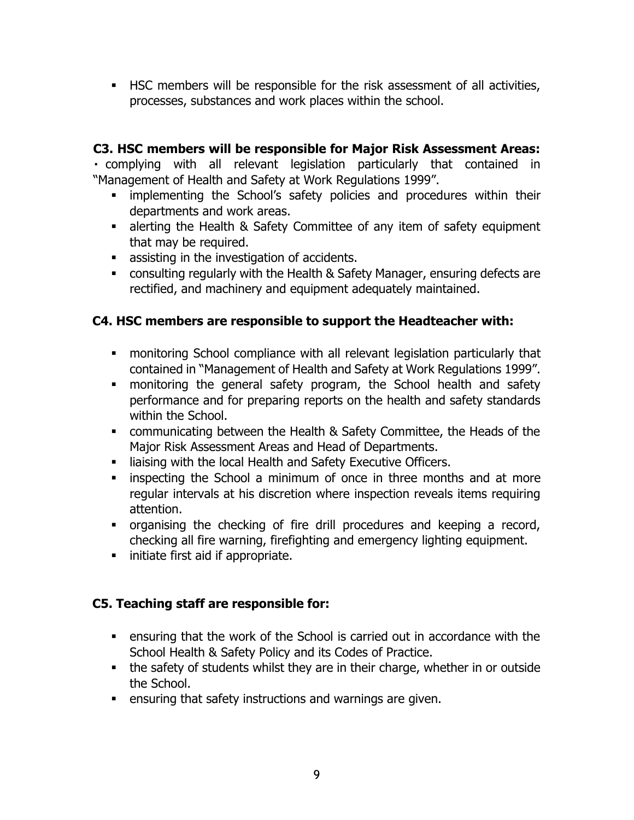**EXEC MEMBERS** will be responsible for the risk assessment of all activities, processes, substances and work places within the school.

#### **C3. HSC members will be responsible for Major Risk Assessment Areas:**

complying with all relevant legislation particularly that contained in "Management of Health and Safety at Work Regulations 1999".

- **EXEDEM** implementing the School's safety policies and procedures within their departments and work areas.
- **EXEDENT Alerting the Health & Safety Committee of any item of safety equipment** that may be required.
- assisting in the investigation of accidents.
- consulting regularly with the Health & Safety Manager, ensuring defects are rectified, and machinery and equipment adequately maintained.

## **C4. HSC members are responsible to support the Headteacher with:**

- monitoring School compliance with all relevant legislation particularly that contained in "Management of Health and Safety at Work Regulations 1999".
- monitoring the general safety program, the School health and safety performance and for preparing reports on the health and safety standards within the School.
- communicating between the Health & Safety Committee, the Heads of the Major Risk Assessment Areas and Head of Departments.
- **.** liaising with the local Health and Safety Executive Officers.
- **Exerch inspecting the School a minimum of once in three months and at more** regular intervals at his discretion where inspection reveals items requiring attention.
- organising the checking of fire drill procedures and keeping a record, checking all fire warning, firefighting and emergency lighting equipment.
- initiate first aid if appropriate.

## **C5. Teaching staff are responsible for:**

- ensuring that the work of the School is carried out in accordance with the School Health & Safety Policy and its Codes of Practice.
- the safety of students whilst they are in their charge, whether in or outside the School.
- ensuring that safety instructions and warnings are given.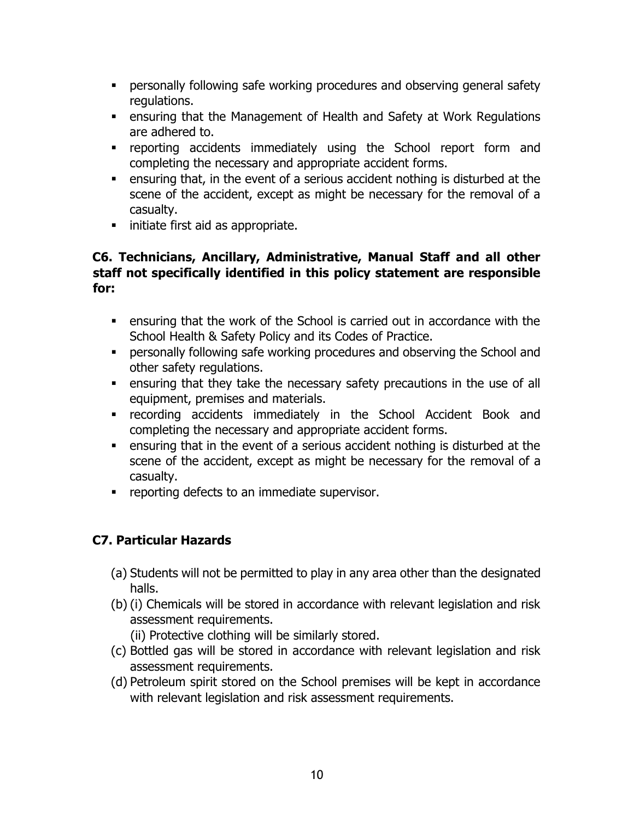- **•** personally following safe working procedures and observing general safety regulations.
- ensuring that the Management of Health and Safety at Work Regulations are adhered to.
- reporting accidents immediately using the School report form and completing the necessary and appropriate accident forms.
- ensuring that, in the event of a serious accident nothing is disturbed at the scene of the accident, except as might be necessary for the removal of a casualty.
- initiate first aid as appropriate.

#### **C6. Technicians, Ancillary, Administrative, Manual Staff and all other staff not specifically identified in this policy statement are responsible for:**

- ensuring that the work of the School is carried out in accordance with the School Health & Safety Policy and its Codes of Practice.
- **•** personally following safe working procedures and observing the School and other safety regulations.
- **EXEDENT** ensuring that they take the necessary safety precautions in the use of all equipment, premises and materials.
- recording accidents immediately in the School Accident Book and completing the necessary and appropriate accident forms.
- ensuring that in the event of a serious accident nothing is disturbed at the scene of the accident, except as might be necessary for the removal of a casualty.
- reporting defects to an immediate supervisor.

## <span id="page-9-0"></span>**C7. Particular Hazards**

- (a) Students will not be permitted to play in any area other than the designated halls.
- (b) (i) Chemicals will be stored in accordance with relevant legislation and risk assessment requirements.
	- (ii) Protective clothing will be similarly stored.
- (c) Bottled gas will be stored in accordance with relevant legislation and risk assessment requirements.
- (d) Petroleum spirit stored on the School premises will be kept in accordance with relevant legislation and risk assessment requirements.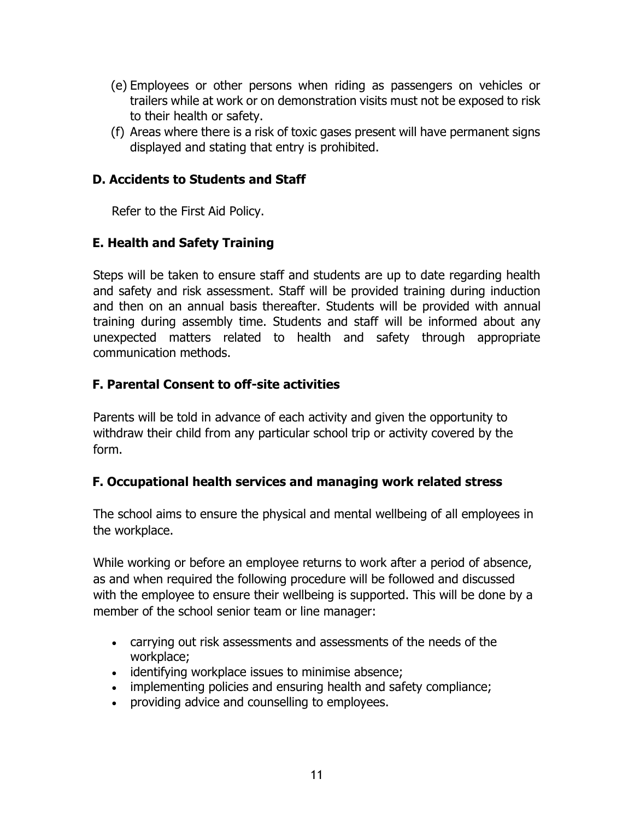- (e) Employees or other persons when riding as passengers on vehicles or trailers while at work or on demonstration visits must not be exposed to risk to their health or safety.
- (f) Areas where there is a risk of toxic gases present will have permanent signs displayed and stating that entry is prohibited.

#### <span id="page-10-0"></span>**D. Accidents to Students and Staff**

Refer to the First Aid Policy.

#### <span id="page-10-1"></span>**E. Health and Safety Training**

Steps will be taken to ensure staff and students are up to date regarding health and safety and risk assessment. Staff will be provided training during induction and then on an annual basis thereafter. Students will be provided with annual training during assembly time. Students and staff will be informed about any unexpected matters related to health and safety through appropriate communication methods.

#### <span id="page-10-2"></span>**F. Parental Consent to off-site activities**

Parents will be told in advance of each activity and given the opportunity to withdraw their child from any particular school trip or activity covered by the form.

#### <span id="page-10-3"></span>**F. Occupational health services and managing work related stress**

The school aims to ensure the physical and mental wellbeing of all employees in the workplace.

While working or before an employee returns to work after a period of absence, as and when required the following procedure will be followed and discussed with the employee to ensure their wellbeing is supported. This will be done by a member of the school senior team or line manager:

- carrying out risk assessments and assessments of the needs of the workplace;
- identifying workplace issues to minimise absence;
- implementing policies and ensuring health and safety compliance;
- providing advice and counselling to employees.